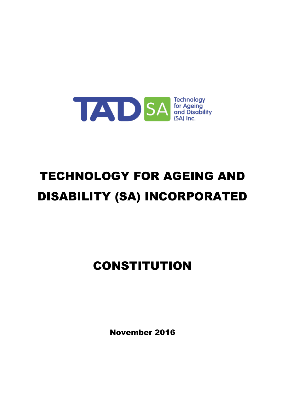

# TECHNOLOGY FOR AGEING AND DISABILITY (SA) INCORPORATED

## CONSTITUTION

November 2016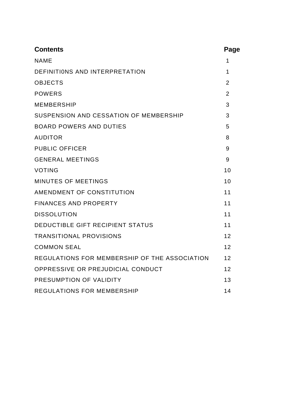| <b>Contents</b>                               | Page           |
|-----------------------------------------------|----------------|
| <b>NAME</b>                                   | 1              |
| DEFINITIONS AND INTERPRETATION                | $\mathbf 1$    |
| <b>OBJECTS</b>                                | $\overline{2}$ |
| <b>POWERS</b>                                 | $\overline{2}$ |
| <b>MEMBERSHIP</b>                             | 3              |
| SUSPENSION AND CESSATION OF MEMBERSHIP        | 3              |
| <b>BOARD POWERS AND DUTIES</b>                | 5              |
| <b>AUDITOR</b>                                | 8              |
| <b>PUBLIC OFFICER</b>                         | 9              |
| <b>GENERAL MEETINGS</b>                       | 9              |
| <b>VOTING</b>                                 | 10             |
| <b>MINUTES OF MEETINGS</b>                    | 10             |
| AMENDMENT OF CONSTITUTION                     | 11             |
| <b>FINANCES AND PROPERTY</b>                  | 11             |
| <b>DISSOLUTION</b>                            | 11             |
| DEDUCTIBLE GIFT RECIPIENT STATUS              | 11             |
| <b>TRANSITIONAL PROVISIONS</b>                | 12             |
| <b>COMMON SEAL</b>                            | 12             |
| REGULATIONS FOR MEMBERSHIP OF THE ASSOCIATION | 12             |
| OPPRESSIVE OR PREJUDICIAL CONDUCT             | 12             |
| PRESUMPTION OF VALIDITY                       | 13             |
| <b>REGULATIONS FOR MEMBERSHIP</b>             | 14             |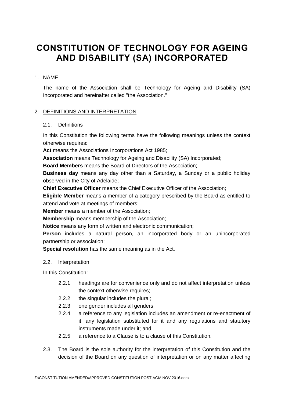## **CONSTITUTION OF TECHNOLOGY FOR AGEING AND DISABILITY (SA) INCORPORATED**

#### 1. NAME

The name of the Association shall be Technology for Ageing and Disability (SA) Incorporated and hereinafter called "the Association."

#### 2. DEFINITIONS AND INTERPRETATION

#### 2.1. Definitions

In this Constitution the following terms have the following meanings unless the context otherwise requires:

**Act** means the Associations Incorporations Act 1985;

**Association** means Technology for Ageing and Disability (SA) Incorporated;

**Board Members** means the Board of Directors of the Association;

**Business day** means any day other than a Saturday, a Sunday or a public holiday observed in the City of Adelaide;

**Chief Executive Officer** means the Chief Executive Officer of the Association;

**Eligible Member** means a member of a category prescribed by the Board as entitled to attend and vote at meetings of members;

**Member** means a member of the Association;

**Membership** means membership of the Association;

**Notice** means any form of written and electronic communication;

**Person** includes a natural person, an incorporated body or an unincorporated partnership or association;

**Special resolution** has the same meaning as in the Act.

#### 2.2. Interpretation

In this Constitution:

- 2.2.1. headings are for convenience only and do not affect interpretation unless the context otherwise requires;
- 2.2.2. the singular includes the plural;
- 2.2.3. one gender includes all genders;
- 2.2.4. a reference to any legislation includes an amendment or re-enactment of it, any legislation substituted for it and any regulations and statutory instruments made under it; and
- 2.2.5. a reference to a Clause is to a clause of this Constitution.
- 2.3. The Board is the sole authority for the interpretation of this Constitution and the decision of the Board on any question of interpretation or on any matter affecting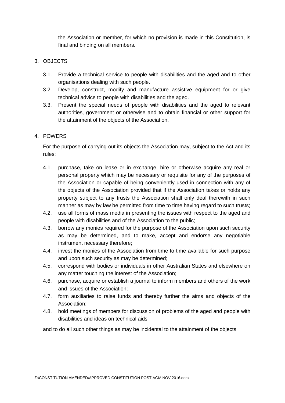the Association or member, for which no provision is made in this Constitution, is final and binding on all members.

#### 3. OBJECTS

- 3.1. Provide a technical service to people with disabilities and the aged and to other organisations dealing with such people.
- 3.2. Develop, construct, modify and manufacture assistive equipment for or give technical advice to people with disabilities and the aged.
- 3.3. Present the special needs of people with disabilities and the aged to relevant authorities, government or otherwise and to obtain financial or other support for the attainment of the objects of the Association.

#### 4. POWERS

For the purpose of carrying out its objects the Association may, subject to the Act and its rules:

- 4.1. purchase, take on lease or in exchange, hire or otherwise acquire any real or personal property which may be necessary or requisite for any of the purposes of the Association or capable of being conveniently used in connection with any of the objects of the Association provided that if the Association takes or holds any property subject to any trusts the Association shall only deal therewith in such manner as may by law be permitted from time to time having regard to such trusts;
- 4.2. use all forms of mass media in presenting the issues with respect to the aged and people with disabilities and of the Association to the public;
- 4.3. borrow any monies required for the purpose of the Association upon such security as may be determined, and to make, accept and endorse any negotiable instrument necessary therefore;
- 4.4. invest the monies of the Association from time to time available for such purpose and upon such security as may be determined;
- 4.5. correspond with bodies or individuals in other Australian States and elsewhere on any matter touching the interest of the Association;
- 4.6. purchase, acquire or establish a journal to inform members and others of the work and issues of the Association;
- 4.7. form auxiliaries to raise funds and thereby further the aims and objects of the Association;
- 4.8. hold meetings of members for discussion of problems of the aged and people with disabilities and ideas on technical aids

and to do all such other things as may be incidental to the attainment of the objects.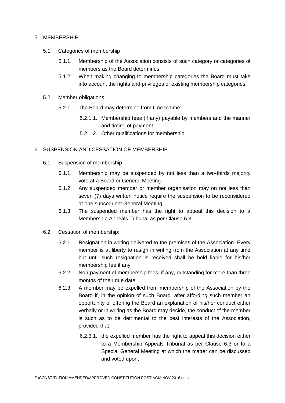#### 5. MEMBERSHIP

- 5.1. Categories of membership
	- 5.1.1. Membership of the Association consists of such category or categories of members as the Board determines.
	- 5.1.2. When making changing to membership categories the Board must take into account the rights and privileges of existing membership categories.
- 5.2. Member obligations
	- 5.2.1. The Board may determine from time to time:
		- 5.2.1.1. Membership fees (if any) payable by members and the manner and timing of payment;
		- 5.2.1.2. Other qualifications for membership.

#### 6. SUSPENSION AND CESSATION OF MEMBERSHIP

- 6.1. Suspension of membership
	- 6.1.1. Membership may be suspended by not less than a two-thirds majority vote at a Board or General Meeting.
	- 6.1.2. Any suspended member or member organisation may on not less than seven (7) days written notice require the suspension to be reconsidered at one subsequent General Meeting.
	- 6.1.3. The suspended member has the right to appeal this decision to a Membership Appeals Tribunal as per Clause [6.3](#page-5-0)
- 6.2. Cessation of membership:
	- 6.2.1. Resignation in writing delivered to the premises of the Association. Every member is at liberty to resign in writing from the Association at any time but until such resignation is received shall be held liable for his/her membership fee if any.
	- 6.2.2. Non-payment of membership fees, if any, outstanding for more than three months of their due date
	- 6.2.3. A member may be expelled from membership of the Association by the Board if, in the opinion of such Board, after affording such member an opportunity of offering the Board an explanation of his/her conduct either verbally or in writing as the Board may decide, the conduct of the member is such as to be detrimental to the best interests of the Association, provided that:
		- 6.2.3.1. the expelled member has the right to appeal this decision either to a Membership Appeals Tribunal as per Clause [6.3](#page-5-0) or to a Special General Meeting at which the matter can be discussed and voted upon;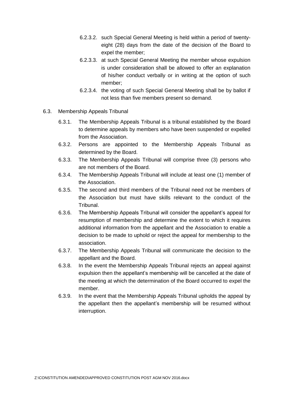- 6.2.3.2. such Special General Meeting is held within a period of twentyeight (28) days from the date of the decision of the Board to expel the member;
- 6.2.3.3. at such Special General Meeting the member whose expulsion is under consideration shall be allowed to offer an explanation of his/her conduct verbally or in writing at the option of such member;
- 6.2.3.4. the voting of such Special General Meeting shall be by ballot if not less than five members present so demand.
- <span id="page-5-0"></span>6.3. Membership Appeals Tribunal
	- 6.3.1. The Membership Appeals Tribunal is a tribunal established by the Board to determine appeals by members who have been suspended or expelled from the Association.
	- 6.3.2. Persons are appointed to the Membership Appeals Tribunal as determined by the Board.
	- 6.3.3. The Membership Appeals Tribunal will comprise three (3) persons who are not members of the Board.
	- 6.3.4. The Membership Appeals Tribunal will include at least one (1) member of the Association.
	- 6.3.5. The second and third members of the Tribunal need not be members of the Association but must have skills relevant to the conduct of the Tribunal.
	- 6.3.6. The Membership Appeals Tribunal will consider the appellant's appeal for resumption of membership and determine the extent to which it requires additional information from the appellant and the Association to enable a decision to be made to uphold or reject the appeal for membership to the association.
	- 6.3.7. The Membership Appeals Tribunal will communicate the decision to the appellant and the Board.
	- 6.3.8. In the event the Membership Appeals Tribunal rejects an appeal against expulsion then the appellant's membership will be cancelled at the date of the meeting at which the determination of the Board occurred to expel the member.
	- 6.3.9. In the event that the Membership Appeals Tribunal upholds the appeal by the appellant then the appellant's membership will be resumed without interruption.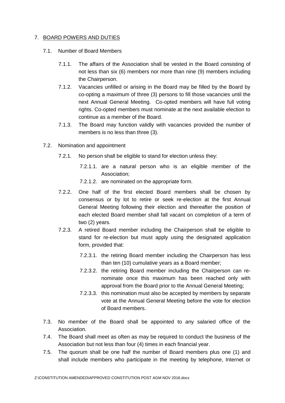#### 7. BOARD POWERS AND DUTIES

- 7.1. Number of Board Members
	- 7.1.1. The affairs of the Association shall be vested in the Board consisting of not less than six (6) members nor more than nine (9) members including the Chairperson.
	- 7.1.2. Vacancies unfilled or arising in the Board may be filled by the Board by co-opting a maximum of three (3) persons to fill those vacancies until the next Annual General Meeting. Co-opted members will have full voting rights. Co-opted members must nominate at the next available election to continue as a member of the Board.
	- 7.1.3. The Board may function validly with vacancies provided the number of members is no less than three (3).
- 7.2. Nomination and appointment
	- 7.2.1. No person shall be eligible to stand for election unless they:
		- 7.2.1.1. are a natural person who is an eligible member of the Association;
		- 7.2.1.2. are nominated on the appropriate form.
	- 7.2.2. One half of the first elected Board members shall be chosen by consensus or by lot to retire or seek re-election at the first Annual General Meeting following their election and thereafter the position of each elected Board member shall fall vacant on completion of a term of two (2) years.
	- 7.2.3. A retired Board member including the Chairperson shall be eligible to stand for re-election but must apply using the designated application form, provided that:
		- 7.2.3.1. the retiring Board member including the Chairperson has less than ten (10) cumulative years as a Board member;
		- 7.2.3.2. the retiring Board member including the Chairperson can renominate once this maximum has been reached only with approval from the Board prior to the Annual General Meeting;
		- 7.2.3.3. this nomination must also be accepted by members by separate vote at the Annual General Meeting before the vote for election of Board members.
- 7.3. No member of the Board shall be appointed to any salaried office of the Association.
- 7.4. The Board shall meet as often as may be required to conduct the business of the Association but not less than four (4) times in each financial year.
- 7.5. The quorum shall be one half the number of Board members plus one (1) and shall include members who participate in the meeting by telephone, Internet or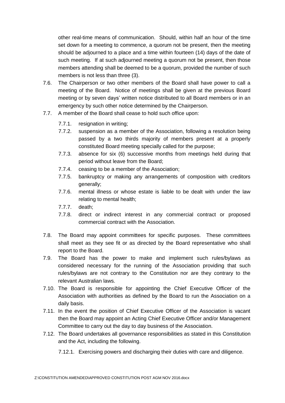other real-time means of communication. Should, within half an hour of the time set down for a meeting to commence, a quorum not be present, then the meeting should be adjourned to a place and a time within fourteen (14) days of the date of such meeting. If at such adjourned meeting a quorum not be present, then those members attending shall be deemed to be a quorum, provided the number of such members is not less than three (3).

- 7.6. The Chairperson or two other members of the Board shall have power to call a meeting of the Board. Notice of meetings shall be given at the previous Board meeting or by seven days' written notice distributed to all Board members or in an emergency by such other notice determined by the Chairperson.
- 7.7. A member of the Board shall cease to hold such office upon:
	- 7.7.1. resignation in writing;
	- 7.7.2. suspension as a member of the Association, following a resolution being passed by a two thirds majority of members present at a properly constituted Board meeting specially called for the purpose;
	- 7.7.3. absence for six (6) successive months from meetings held during that period without leave from the Board;
	- 7.7.4. ceasing to be a member of the Association;
	- 7.7.5. bankruptcy or making any arrangements of composition with creditors generally;
	- 7.7.6. mental illness or whose estate is liable to be dealt with under the law relating to mental health;
	- 7.7.7. death;
	- 7.7.8. direct or indirect interest in any commercial contract or proposed commercial contract with the Association.
- 7.8. The Board may appoint committees for specific purposes. These committees shall meet as they see fit or as directed by the Board representative who shall report to the Board.
- 7.9. The Board has the power to make and implement such rules/bylaws as considered necessary for the running of the Association providing that such rules/bylaws are not contrary to the Constitution nor are they contrary to the relevant Australian laws.
- 7.10. The Board is responsible for appointing the Chief Executive Officer of the Association with authorities as defined by the Board to run the Association on a daily basis.
- 7.11. In the event the position of Chief Executive Officer of the Association is vacant then the Board may appoint an Acting Chief Executive Officer and/or Management Committee to carry out the day to day business of the Association.
- 7.12. The Board undertakes all governance responsibilities as stated in this Constitution and the Act, including the following.

7.12.1. Exercising powers and discharging their duties with care and diligence.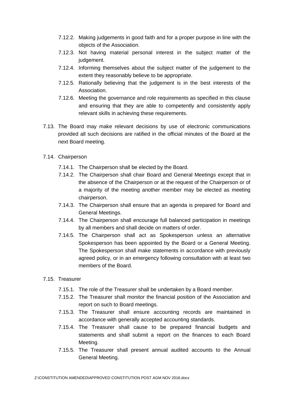- 7.12.2. Making judgements in good faith and for a proper purpose in line with the objects of the Association.
- 7.12.3. Not having material personal interest in the subject matter of the judgement.
- 7.12.4. Informing themselves about the subject matter of the judgement to the extent they reasonably believe to be appropriate.
- 7.12.5. Rationally believing that the judgement is in the best interests of the Association.
- 7.12.6. Meeting the governance and role requirements as specified in this clause and ensuring that they are able to competently and consistently apply relevant skills in achieving these requirements.
- 7.13. The Board may make relevant decisions by use of electronic communications provided all such decisions are ratified in the official minutes of the Board at the next Board meeting.
- 7.14. Chairperson
	- 7.14.1. The Chairperson shall be elected by the Board.
	- 7.14.2. The Chairperson shall chair Board and General Meetings except that in the absence of the Chairperson or at the request of the Chairperson or of a majority of the meeting another member may be elected as meeting chairperson.
	- 7.14.3. The Chairperson shall ensure that an agenda is prepared for Board and General Meetings.
	- 7.14.4. The Chairperson shall encourage full balanced participation in meetings by all members and shall decide on matters of order.
	- 7.14.5. The Chairperson shall act as Spokesperson unless an alternative Spokesperson has been appointed by the Board or a General Meeting. The Spokesperson shall make statements in accordance with previously agreed policy, or in an emergency following consultation with at least two members of the Board.

#### 7.15. Treasurer

- 7.15.1. The role of the Treasurer shall be undertaken by a Board member.
- 7.15.2. The Treasurer shall monitor the financial position of the Association and report on such to Board meetings.
- 7.15.3. The Treasurer shall ensure accounting records are maintained in accordance with generally accepted accounting standards.
- 7.15.4. The Treasurer shall cause to be prepared financial budgets and statements and shall submit a report on the finances to each Board Meeting.
- 7.15.5. The Treasurer shall present annual audited accounts to the Annual General Meeting.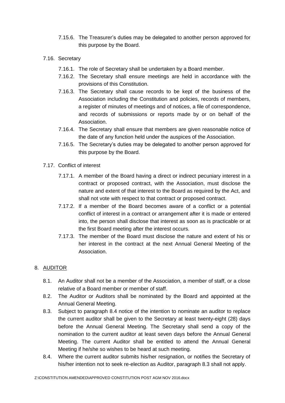- 7.15.6. The Treasurer's duties may be delegated to another person approved for this purpose by the Board.
- 7.16. Secretary
	- 7.16.1. The role of Secretary shall be undertaken by a Board member.
	- 7.16.2. The Secretary shall ensure meetings are held in accordance with the provisions of this Constitution.
	- 7.16.3. The Secretary shall cause records to be kept of the business of the Association including the Constitution and policies, records of members, a register of minutes of meetings and of notices, a file of correspondence, and records of submissions or reports made by or on behalf of the Association.
	- 7.16.4. The Secretary shall ensure that members are given reasonable notice of the date of any function held under the auspices of the Association.
	- 7.16.5. The Secretary's duties may be delegated to another person approved for this purpose by the Board.
- 7.17. Conflict of interest
	- 7.17.1. A member of the Board having a direct or indirect pecuniary interest in a contract or proposed contract, with the Association, must disclose the nature and extent of that interest to the Board as required by the Act, and shall not vote with respect to that contract or proposed contract.
	- 7.17.2. If a member of the Board becomes aware of a conflict or a potential conflict of interest in a contract or arrangement after it is made or entered into, the person shall disclose that interest as soon as is practicable or at the first Board meeting after the interest occurs.
	- 7.17.3. The member of the Board must disclose the nature and extent of his or her interest in the contract at the next Annual General Meeting of the Association.

#### 8. AUDITOR

- 8.1. An Auditor shall not be a member of the Association, a member of staff, or a close relative of a Board member or member of staff.
- 8.2. The Auditor or Auditors shall be nominated by the Board and appointed at the Annual General Meeting.
- <span id="page-9-1"></span>8.3. Subject to paragraph [8.4](#page-9-0) notice of the intention to nominate an auditor to replace the current auditor shall be given to the Secretary at least twenty-eight (28) days before the Annual General Meeting. The Secretary shall send a copy of the nomination to the current auditor at least seven days before the Annual General Meeting. The current Auditor shall be entitled to attend the Annual General Meeting if he/she so wishes to be heard at such meeting.
- <span id="page-9-0"></span>8.4. Where the current auditor submits his/her resignation, or notifies the Secretary of his/her intention not to seek re-election as Auditor, paragraph [8.3](#page-9-1) shall not apply.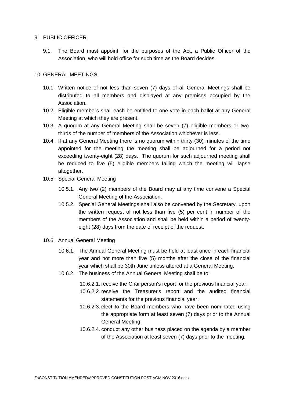#### 9. PUBLIC OFFICER

9.1. The Board must appoint, for the purposes of the Act, a Public Officer of the Association, who will hold office for such time as the Board decides.

#### 10. GENERAL MEETINGS

- 10.1. Written notice of not less than seven (7) days of all General Meetings shall be distributed to all members and displayed at any premises occupied by the Association.
- 10.2. Eligible members shall each be entitled to one vote in each ballot at any General Meeting at which they are present.
- 10.3. A quorum at any General Meeting shall be seven (7) eligible members or twothirds of the number of members of the Association whichever is less.
- 10.4. If at any General Meeting there is no quorum within thirty (30) minutes of the time appointed for the meeting the meeting shall be adjourned for a period not exceeding twenty-eight (28) days. The quorum for such adjourned meeting shall be reduced to five (5) eligible members failing which the meeting will lapse altogether.
- 10.5. Special General Meeting
	- 10.5.1. Any two (2) members of the Board may at any time convene a Special General Meeting of the Association.
	- 10.5.2. Special General Meetings shall also be convened by the Secretary, upon the written request of not less than five (5) per cent in number of the members of the Association and shall be held within a period of twentyeight (28) days from the date of receipt of the request.
- 10.6. Annual General Meeting
	- 10.6.1. The Annual General Meeting must be held at least once in each financial year and not more than five (5) months after the close of the financial year which shall be 30th June unless altered at a General Meeting.
	- 10.6.2. The business of the Annual General Meeting shall be to:

10.6.2.1. receive the Chairperson's report for the previous financial year;

- 10.6.2.2. receive the Treasurer's report and the audited financial statements for the previous financial year;
- 10.6.2.3. elect to the Board members who have been nominated using the appropriate form at least seven (7) days prior to the Annual General Meeting;
- 10.6.2.4. conduct any other business placed on the agenda by a member of the Association at least seven (7) days prior to the meeting.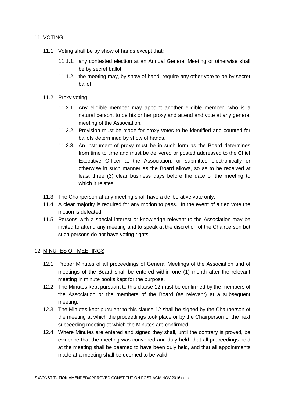#### 11. VOTING

- 11.1. Voting shall be by show of hands except that:
	- 11.1.1. any contested election at an Annual General Meeting or otherwise shall be by secret ballot;
	- 11.1.2. the meeting may, by show of hand, require any other vote to be by secret ballot.
- 11.2. Proxy voting
	- 11.2.1. Any eligible member may appoint another eligible member, who is a natural person, to be his or her proxy and attend and vote at any general meeting of the Association.
	- 11.2.2. Provision must be made for proxy votes to be identified and counted for ballots determined by show of hands.
	- 11.2.3. An instrument of proxy must be in such form as the Board determines from time to time and must be delivered or posted addressed to the Chief Executive Officer at the Association, or submitted electronically or otherwise in such manner as the Board allows, so as to be received at least three (3) clear business days before the date of the meeting to which it relates
- 11.3. The Chairperson at any meeting shall have a deliberative vote only.
- 11.4. A clear majority is required for any motion to pass. In the event of a tied vote the motion is defeated.
- 11.5. Persons with a special interest or knowledge relevant to the Association may be invited to attend any meeting and to speak at the discretion of the Chairperson but such persons do not have voting rights.

#### <span id="page-11-0"></span>12. MINUTES OF MEETINGS

- 12.1. Proper Minutes of all proceedings of General Meetings of the Association and of meetings of the Board shall be entered within one (1) month after the relevant meeting in minute books kept for the purpose.
- 12.2. The Minutes kept pursuant to this clause [12](#page-11-0) must be confirmed by the members of the Association or the members of the Board (as relevant) at a subsequent meeting.
- 12.3. The Minutes kept pursuant to this clause [12](#page-11-0) shall be signed by the Chairperson of the meeting at which the proceedings took place or by the Chairperson of the next succeeding meeting at which the Minutes are confirmed.
- 12.4. Where Minutes are entered and signed they shall, until the contrary is proved, be evidence that the meeting was convened and duly held, that all proceedings held at the meeting shall be deemed to have been duly held, and that all appointments made at a meeting shall be deemed to be valid.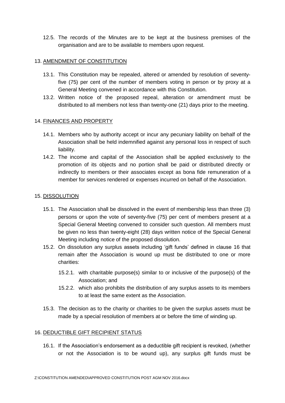12.5. The records of the Minutes are to be kept at the business premises of the organisation and are to be available to members upon request.

#### 13. AMENDMENT OF CONSTITUTION

- 13.1. This Constitution may be repealed, altered or amended by resolution of seventyfive (75) per cent of the number of members voting in person or by proxy at a General Meeting convened in accordance with this Constitution.
- 13.2. Written notice of the proposed repeal, alteration or amendment must be distributed to all members not less than twenty-one (21) days prior to the meeting.

#### 14. FINANCES AND PROPERTY

- 14.1. Members who by authority accept or incur any pecuniary liability on behalf of the Association shall be held indemnified against any personal loss in respect of such liability.
- 14.2. The income and capital of the Association shall be applied exclusively to the promotion of its objects and no portion shall be paid or distributed directly or indirectly to members or their associates except as bona fide remuneration of a member for services rendered or expenses incurred on behalf of the Association.

#### 15. DISSOLUTION

- 15.1. The Association shall be dissolved in the event of membership less than three (3) persons or upon the vote of seventy-five (75) per cent of members present at a Special General Meeting convened to consider such question. All members must be given no less than twenty-eight (28) days written notice of the Special General Meeting including notice of the proposed dissolution.
- <span id="page-12-1"></span>15.2. On dissolution any surplus assets including 'gift funds' defined in clause [16](#page-12-0) that remain after the Association is wound up must be distributed to one or more charities:
	- 15.2.1. with charitable purpose(s) similar to or inclusive of the purpose(s) of the Association; and
	- 15.2.2. which also prohibits the distribution of any surplus assets to its members to at least the same extent as the Association.
- <span id="page-12-2"></span>15.3. The decision as to the charity or charities to be given the surplus assets must be made by a special resolution of members at or before the time of winding up.

#### <span id="page-12-0"></span>16. DEDUCTIBLE GIFT RECIPIENT STATUS

16.1. If the Association's endorsement as a deductible gift recipient is revoked, (whether or not the Association is to be wound up), any surplus gift funds must be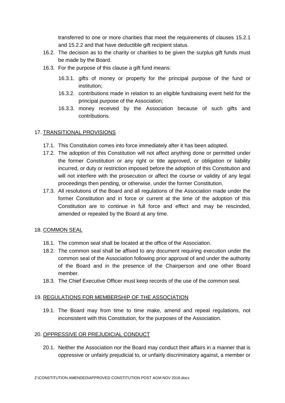transferred to one or more charities that meet the requirements of clauses [15.2.1](#page-12-1) and [15.2.2](#page-12-2) and that have deductible gift recipient status.

- 16.2. The decision as to the charity or charities to be given the surplus gift funds must be made by the Board.
- 16.3. For the purpose of this clause a gift fund means:
	- 16.3.1. gifts of money or property for the principal purpose of the fund or institution;
	- 16.3.2. contributions made in relation to an eligible fundraising event held for the principal purpose of the Association;
	- 16.3.3. money received by the Association because of such gifts and contributions.

#### 17. TRANSITIONAL PROVISIONS

- 17.1. This Constitution comes into force immediately after it has been adopted.
- 17.2. The adoption of this Constitution will not affect anything done or permitted under the former Constitution or any right or title approved, or obligation or liability incurred, or duty or restriction imposed before the adoption of this Constitution and will not interfere with the prosecution or affect the course or validity of any legal proceedings then pending, or otherwise, under the former Constitution.
- 17.3. All resolutions of the Board and all regulations of the Association made under the former Constitution and in force or current at the time of the adoption of this Constitution are to continue in full force and effect and may be rescinded, amended or repealed by the Board at any time.

#### 18. COMMON SEAL

- 18.1. The common seal shall be located at the office of the Association.
- 18.2. The common seal shall be affixed to any document requiring execution under the common seal of the Association following prior approval of and under the authority of the Board and in the presence of the Chairperson and one other Board member.
- 18.3. The Chief Executive Officer must keep records of the use of the common seal.

#### 19. REGULATIONS FOR MEMBERSHIP OF THE ASSOCIATION

19.1. The Board may from time to time make, amend and repeal regulations, not inconsistent with this Constitution, for the purposes of the Association.

#### <span id="page-13-0"></span>20. OPPRESSIVE OR PREJUDICIAL CONDUCT

20.1. Neither the Association nor the Board may conduct their affairs in a manner that is oppressive or unfairly prejudicial to, or unfairly discriminatory against, a member or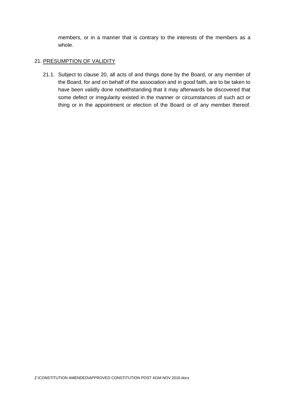members, or in a manner that is contrary to the interests of the members as a whole.

#### 21. PRESUMPTION OF VALIDITY

21.1. Subject to clause [20,](#page-13-0) all acts of and things done by the Board, or any member of the Board, for and on behalf of the association and in good faith, are to be taken to have been validly done notwithstanding that it may afterwards be discovered that some defect or irregularity existed in the manner or circumstances of such act or thing or in the appointment or election of the Board or of any member thereof.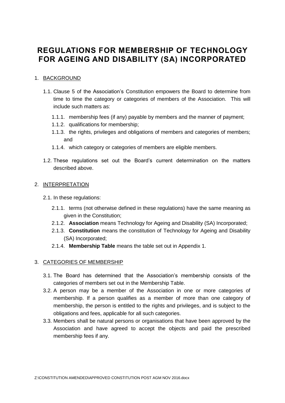### **REGULATIONS FOR MEMBERSHIP OF TECHNOLOGY FOR AGEING AND DISABILITY (SA) INCORPORATED**

#### 1. BACKGROUND

- 1.1. Clause 5 of the Association's Constitution empowers the Board to determine from time to time the category or categories of members of the Association. This will include such matters as:
	- 1.1.1. membership fees (if any) payable by members and the manner of payment;
	- 1.1.2. qualifications for membership;
	- 1.1.3. the rights, privileges and obligations of members and categories of members; and
	- 1.1.4. which category or categories of members are eligible members.
- 1.2. These regulations set out the Board's current determination on the matters described above.

#### 2. INTERPRETATION

- 2.1. In these regulations:
	- 2.1.1. terms (not otherwise defined in these regulations) have the same meaning as given in the Constitution;
	- 2.1.2. **Association** means Technology for Ageing and Disability (SA) Incorporated;
	- 2.1.3. **Constitution** means the constitution of Technology for Ageing and Disability (SA) Incorporated;
	- 2.1.4. **Membership Table** means the table set out in Appendix 1.

#### 3. CATEGORIES OF MEMBERSHIP

- 3.1. The Board has determined that the Association's membership consists of the categories of members set out in the Membership Table.
- 3.2. A person may be a member of the Association in one or more categories of membership. If a person qualifies as a member of more than one category of membership, the person is entitled to the rights and privileges, and is subject to the obligations and fees, applicable for all such categories.
- 3.3. Members shall be natural persons or organisations that have been approved by the Association and have agreed to accept the objects and paid the prescribed membership fees if any.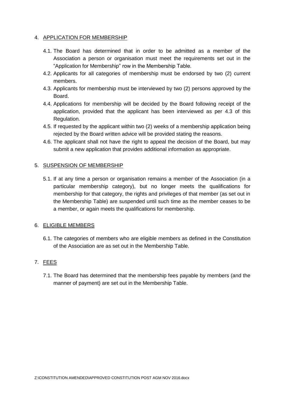#### 4. APPLICATION FOR MEMBERSHIP

- 4.1. The Board has determined that in order to be admitted as a member of the Association a person or organisation must meet the requirements set out in the "Application for Membership" row in the Membership Table.
- 4.2. Applicants for all categories of membership must be endorsed by two (2) current members.
- <span id="page-16-0"></span>4.3. Applicants for membership must be interviewed by two (2) persons approved by the Board.
- 4.4. Applications for membership will be decided by the Board following receipt of the application, provided that the applicant has been interviewed as per [4.3](#page-16-0) of this Regulation.
- 4.5. If requested by the applicant within two (2) weeks of a membership application being rejected by the Board written advice will be provided stating the reasons.
- 4.6. The applicant shall not have the right to appeal the decision of the Board, but may submit a new application that provides additional information as appropriate.

#### 5. SUSPENSION OF MEMBERSHIP

5.1. If at any time a person or organisation remains a member of the Association (in a particular membership category), but no longer meets the qualifications for membership for that category, the rights and privileges of that member (as set out in the Membership Table) are suspended until such time as the member ceases to be a member, or again meets the qualifications for membership.

#### 6. ELIGIBLE MEMBERS

6.1. The categories of members who are eligible members as defined in the Constitution of the Association are as set out in the Membership Table.

#### 7. FEES

7.1. The Board has determined that the membership fees payable by members (and the manner of payment) are set out in the Membership Table.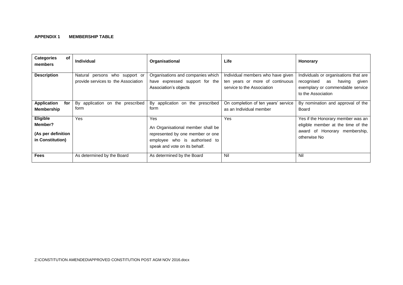#### **APPENDIX 1 MEMBERSHIP TABLE**

| <b>Categories</b><br>оf<br>members                            | <b>Individual</b>                                                     | Organisational                                                                                                                                        | Life                                                                                               | Honorary                                                                                                                               |
|---------------------------------------------------------------|-----------------------------------------------------------------------|-------------------------------------------------------------------------------------------------------------------------------------------------------|----------------------------------------------------------------------------------------------------|----------------------------------------------------------------------------------------------------------------------------------------|
| <b>Description</b>                                            | Natural persons who support or<br>provide services to the Association | Organisations and companies which<br>have expressed support for the<br>Association's objects                                                          | Individual members who have given<br>ten years or more of continuous<br>service to the Association | Individuals or organisations that are<br>recognised<br>having<br>as<br>given<br>exemplary or commendable service<br>to the Association |
| <b>Application</b><br>for<br><b>Membership</b>                | By application on the prescribed<br>form                              | By application on the prescribed<br>form                                                                                                              | On completion of ten years' service<br>as an Individual member                                     | By nomination and approval of the<br><b>Board</b>                                                                                      |
| Eligible<br>Member?<br>(As per definition<br>in Constitution) | <b>Yes</b>                                                            | <b>Yes</b><br>An Organisational member shall be<br>represented by one member or one<br>employee who is authorised to<br>speak and vote on its behalf. | Yes                                                                                                | Yes if the Honorary member was an<br>eligible member at the time of the<br>award of Honorary membership,<br>otherwise No               |
| <b>Fees</b>                                                   | As determined by the Board                                            | As determined by the Board                                                                                                                            | Nil                                                                                                | Nil                                                                                                                                    |